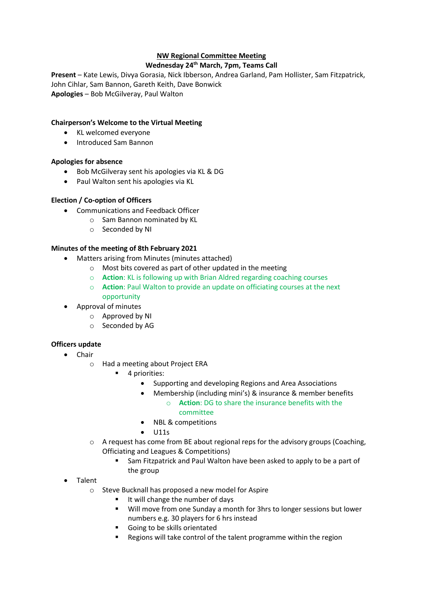# **NW Regional Committee Meeting**

## **Wednesday 24th March, 7pm, Teams Call**

**Present** – Kate Lewis, Divya Gorasia, Nick Ibberson, Andrea Garland, Pam Hollister, Sam Fitzpatrick, John Cihlar, Sam Bannon, Gareth Keith, Dave Bonwick **Apologies** – Bob McGilveray, Paul Walton

## **Chairperson's Welcome to the Virtual Meeting**

- KL welcomed everyone
- Introduced Sam Bannon

## **Apologies for absence**

- Bob McGilveray sent his apologies via KL & DG
- Paul Walton sent his apologies via KL

## **Election / Co-option of Officers**

- Communications and Feedback Officer
	- o Sam Bannon nominated by KL
		- o Seconded by NI

### **Minutes of the meeting of 8th February 2021**

- Matters arising from Minutes (minutes attached)
	- o Most bits covered as part of other updated in the meeting
	- o **Action**: KL is following up with Brian Aldred regarding coaching courses
	- o **Action**: Paul Walton to provide an update on officiating courses at the next opportunity
- Approval of minutes
	- o Approved by NI
	- o Seconded by AG

## **Officers update**

- Chair
	- o Had a meeting about Project ERA
		- 4 priorities:
			- Supporting and developing Regions and Area Associations
			- Membership (including mini's) & insurance & member benefits
				- o **Action**: DG to share the insurance benefits with the committee
			- NBL & competitions
			- $\bullet$  U11s
	- $\circ$  A request has come from BE about regional reps for the advisory groups (Coaching, Officiating and Leagues & Competitions)
		- Sam Fitzpatrick and Paul Walton have been asked to apply to be a part of the group
- Talent
	- o Steve Bucknall has proposed a new model for Aspire
		- It will change the number of days
		- Will move from one Sunday a month for 3hrs to longer sessions but lower numbers e.g. 30 players for 6 hrs instead
		- Going to be skills orientated
		- Regions will take control of the talent programme within the region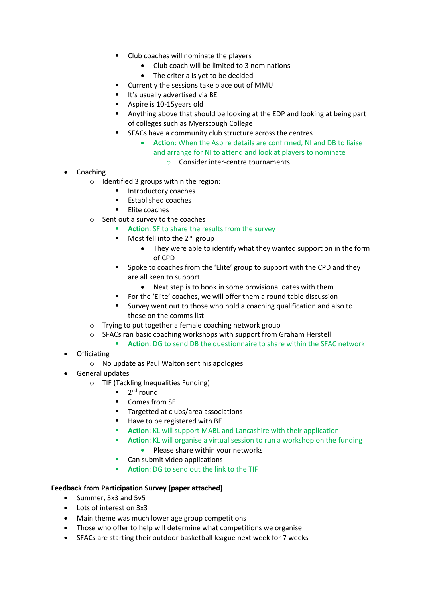- Club coaches will nominate the players
	- Club coach will be limited to 3 nominations
	- The criteria is yet to be decided
- Currently the sessions take place out of MMU
- It's usually advertised via BE
- Aspire is 10-15years old
- Anything above that should be looking at the EDP and looking at being part of colleges such as Myerscough College
- SFACs have a community club structure across the centres
	- **Action**: When the Aspire details are confirmed, NI and DB to liaise and arrange for NI to attend and look at players to nominate o Consider inter-centre tournaments
- **Coaching** 
	- o Identified 3 groups within the region:
		- Introductory coaches
		- Established coaches
		- Elite coaches
	- o Sent out a survey to the coaches
		- Action: SF to share the results from the survey
		- $\blacksquare$  Most fell into the 2<sup>nd</sup> group
			- They were able to identify what they wanted support on in the form of CPD
		- Spoke to coaches from the 'Elite' group to support with the CPD and they are all keen to support
			- Next step is to book in some provisional dates with them
		- For the 'Elite' coaches, we will offer them a round table discussion
		- Survey went out to those who hold a coaching qualification and also to those on the comms list
	- o Trying to put together a female coaching network group
	- o SFACs ran basic coaching workshops with support from Graham Herstell
		- **EXECTION: DG to send DB the questionnaire to share within the SFAC network**
- Officiating
	- o No update as Paul Walton sent his apologies
- General updates
	- o TIF (Tackling Inequalities Funding)
		- 2<sup>nd</sup> round
		- Comes from SE
		- Targetted at clubs/area associations
		- Have to be registered with BE
		- **Action**: KL will support MABL and Lancashire with their application
		- **E** Action: KL will organise a virtual session to run a workshop on the funding
			- Please share within your networks
		- Can submit video applications
		- **Action**: DG to send out the link to the TIF

## **Feedback from Participation Survey (paper attached)**

- Summer, 3x3 and 5v5
- Lots of interest on 3x3
- Main theme was much lower age group competitions
- Those who offer to help will determine what competitions we organise
- SFACs are starting their outdoor basketball league next week for 7 weeks